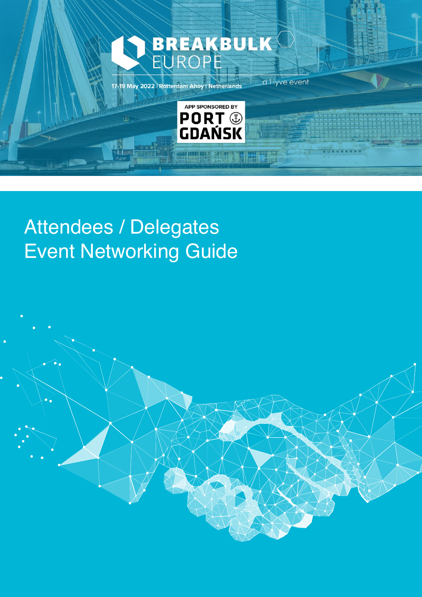

### Attendees / Delegates Event Networking Guide

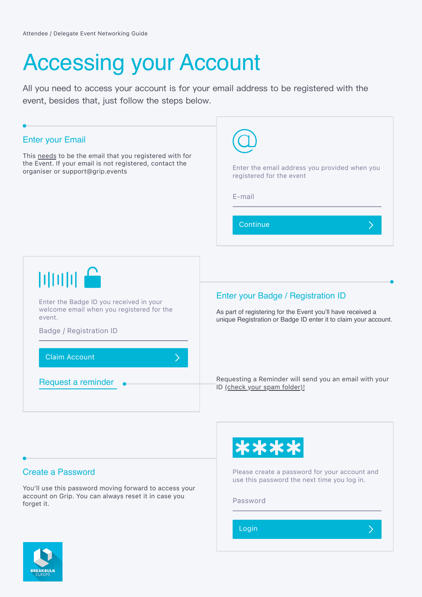# Accessing your Account

All you need to access your account is for your email address to be registered with the event, besides that, just follow the steps below.

| <b>Enter your Email</b>                                                                                                                           | Enter the email address you provided when you                                                                                                                        |
|---------------------------------------------------------------------------------------------------------------------------------------------------|----------------------------------------------------------------------------------------------------------------------------------------------------------------------|
| This needs to be the email that you registered with for                                                                                           | registered for the event                                                                                                                                             |
| the Event. If your email is not registered, contact the                                                                                           | E-mail                                                                                                                                                               |
| organiser or support@grip.events                                                                                                                  | Continue                                                                                                                                                             |
| $         _p$<br>Enter the Badge ID you received in your<br>welcome email when you registered for the<br>event.<br><b>Badge / Registration ID</b> | Enter your Badge / Registration ID<br>As part of registering for the Event you'll have received a<br>unique Registration or Badge ID enter it to claim your account. |
| <b>Claim Account</b>                                                                                                                              | Requesting a Reminder will send you an email with your                                                                                                               |
| Request a reminder                                                                                                                                | ID (check your spam folder)!                                                                                                                                         |

### Create a Password

You'll use this password moving forward to access your account on Grip. You can always reset it in case you forget it.



Please create a password for your account and use this password the next time you log in.

 $\left\langle \right\rangle$ 

Password

Login